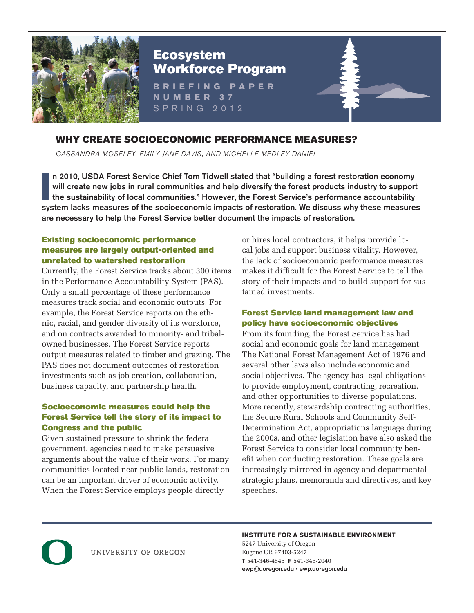

# Ecosystem Workforce Program

**BRIEFING PAPER NUMBER 37** SPRING 2012

# WHY CREATE SOCIOECONOMIC PERFORMANCE MEASURES?

CASSANDRA MOSELEY, EMILY JANE DAVIS, AND MICHELLE MEDLEY-DANIEL

II n 2010, USDA Forest Service Chief Tom Tidwell stated that "building a forest restoration economy will create new jobs in rural communities and help diversify the forest products industry to support the sustainability of n 2010, USDA Forest Service Chief Tom Tidwell stated that "building a forest restoration economy will create new jobs in rural communities and help diversify the forest products industry to support the sustainability of local communities." However, the Forest Service's performance accountability are necessary to help the Forest Service better document the impacts of restoration.

#### Existing socioeconomic performance measures are largely output-oriented and unrelated to watershed restoration

Currently, the Forest Service tracks about 300 items in the Performance Accountability System (PAS). Only a small percentage of these performance measures track social and economic outputs. For example, the Forest Service reports on the ethnic, racial, and gender diversity of its workforce, and on contracts awarded to minority- and tribalowned businesses. The Forest Service reports output measures related to timber and grazing. The PAS does not document outcomes of restoration investments such as job creation, collaboration, business capacity, and partnership health.

## Socioeconomic measures could help the Forest Service tell the story of its impact to Congress and the public

Given sustained pressure to shrink the federal government, agencies need to make persuasive arguments about the value of their work. For many communities located near public lands, restoration can be an important driver of economic activity. When the Forest Service employs people directly

or hires local contractors, it helps provide local jobs and support business vitality. However, the lack of socioeconomic performance measures makes it difficult for the Forest Service to tell the story of their impacts and to build support for sustained investments.

### Forest Service land management law and policy have socioeconomic objectives

From its founding, the Forest Service has had social and economic goals for land management. The National Forest Management Act of 1976 and several other laws also include economic and social objectives. The agency has legal obligations to provide employment, contracting, recreation, and other opportunities to diverse populations. More recently, stewardship contracting authorities, the Secure Rural Schools and Community Self-Determination Act, appropriations language during the 2000s, and other legislation have also asked the Forest Service to consider local community benefit when conducting restoration. These goals are increasingly mirrored in agency and departmental strategic plans, memoranda and directives, and key speeches.



UNIVERSITY OF OREGON

#### **INSTITUTE FOR A SUSTAINABLE ENVIRONMENT**

5247 University of Oregon Eugene OR 97403-5247 **T** 541-346-4545 **F** 541-346-2040 ewp@uoregon.edu • ewp.uoregon.edu